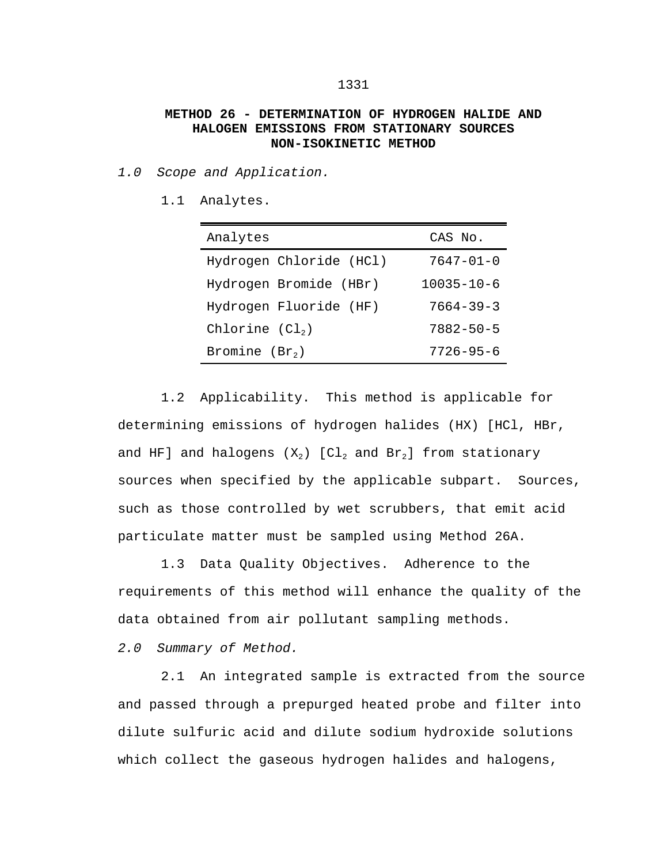## **METHOD 26 - DETERMINATION OF HYDROGEN HALIDE AND HALOGEN EMISSIONS FROM STATIONARY SOURCES NON-ISOKINETIC METHOD**

*1.0 Scope and Application.*

1.1 Analytes.

| Analytes                | CAS No.          |
|-------------------------|------------------|
| Hydrogen Chloride (HCl) | $7647 - 01 - 0$  |
| Hydrogen Bromide (HBr)  | $10035 - 10 - 6$ |
| Hydrogen Fluoride (HF)  | $7664 - 39 - 3$  |
| Chlorine $(Cl2)$        | $7882 - 50 - 5$  |
| Bromine $(Br_2)$        | $7726 - 95 - 6$  |

1.2 Applicability. This method is applicable for determining emissions of hydrogen halides (HX) [HCl, HBr, and HF] and halogens  $(X_2)$  [Cl<sub>2</sub> and Br<sub>2</sub>] from stationary sources when specified by the applicable subpart. Sources, such as those controlled by wet scrubbers, that emit acid particulate matter must be sampled using Method 26A.

1.3 Data Quality Objectives. Adherence to the requirements of this method will enhance the quality of the data obtained from air pollutant sampling methods.

*2.0 Summary of Method.*

2.1 An integrated sample is extracted from the source and passed through a prepurged heated probe and filter into dilute sulfuric acid and dilute sodium hydroxide solutions which collect the gaseous hydrogen halides and halogens,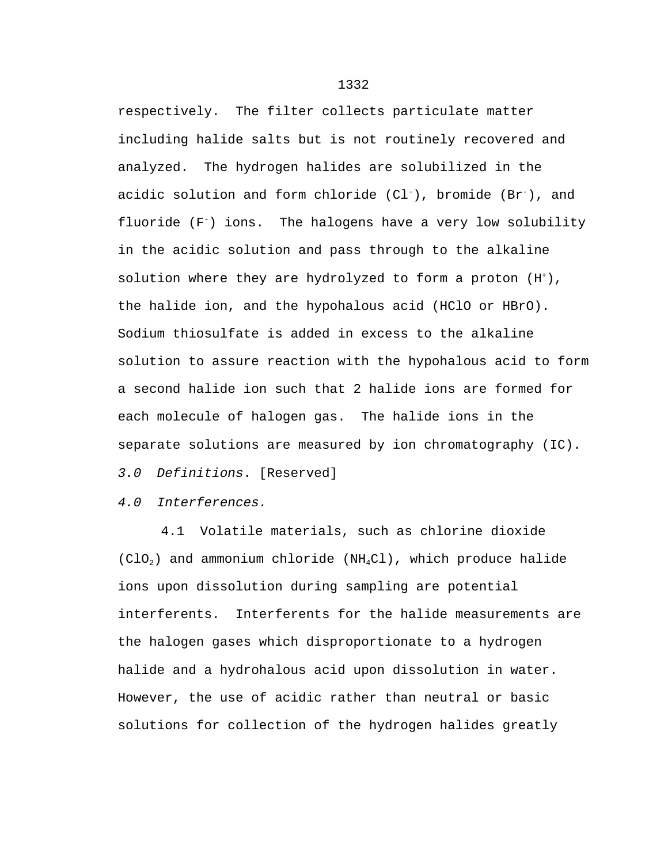respectively. The filter collects particulate matter including halide salts but is not routinely recovered and analyzed. The hydrogen halides are solubilized in the acidic solution and form chloride  $(Cl^-)$ , bromide  $(Br^-)$ , and fluoride  $(F^-)$  ions. The halogens have a very low solubility in the acidic solution and pass through to the alkaline solution where they are hydrolyzed to form a proton  $(H<sup>+</sup>)$ , the halide ion, and the hypohalous acid (HClO or HBrO). Sodium thiosulfate is added in excess to the alkaline solution to assure reaction with the hypohalous acid to form a second halide ion such that 2 halide ions are formed for each molecule of halogen gas. The halide ions in the separate solutions are measured by ion chromatography (IC).

*3.0 Definitions*. [Reserved]

## *4.0 Interferences.*

4.1 Volatile materials, such as chlorine dioxide  $(ClO<sub>2</sub>)$  and ammonium chloride (NH<sub>4</sub>Cl), which produce halide ions upon dissolution during sampling are potential interferents. Interferents for the halide measurements are the halogen gases which disproportionate to a hydrogen halide and a hydrohalous acid upon dissolution in water. However, the use of acidic rather than neutral or basic solutions for collection of the hydrogen halides greatly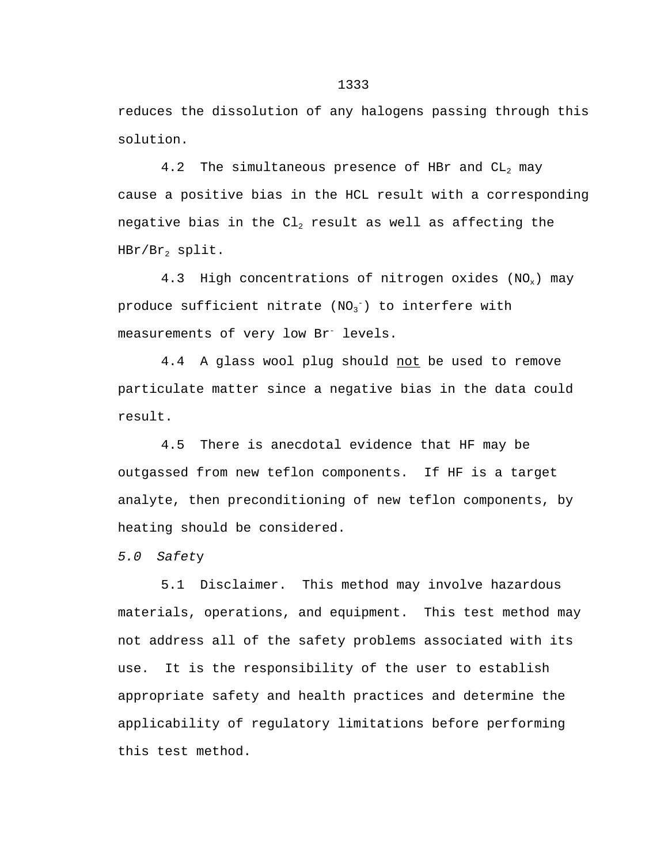reduces the dissolution of any halogens passing through this solution.

4.2 The simultaneous presence of HBr and  $CL<sub>2</sub>$  may cause a positive bias in the HCL result with a corresponding negative bias in the  $Cl_2$  result as well as affecting the  $HBr/Br<sub>2</sub>$  split.

4.3 High concentrations of nitrogen oxides  $(NO_x)$  may produce sufficient nitrate  $\texttt{(NO_3^-)}$  to interfere with measurements of very low Br<sup>-</sup> levels.

4.4 A glass wool plug should not be used to remove particulate matter since a negative bias in the data could result.

4.5 There is anecdotal evidence that HF may be outgassed from new teflon components. If HF is a target analyte, then preconditioning of new teflon components, by heating should be considered.

*5.0 Safet*y

5.1 Disclaimer. This method may involve hazardous materials, operations, and equipment. This test method may not address all of the safety problems associated with its use. It is the responsibility of the user to establish appropriate safety and health practices and determine the applicability of regulatory limitations before performing this test method.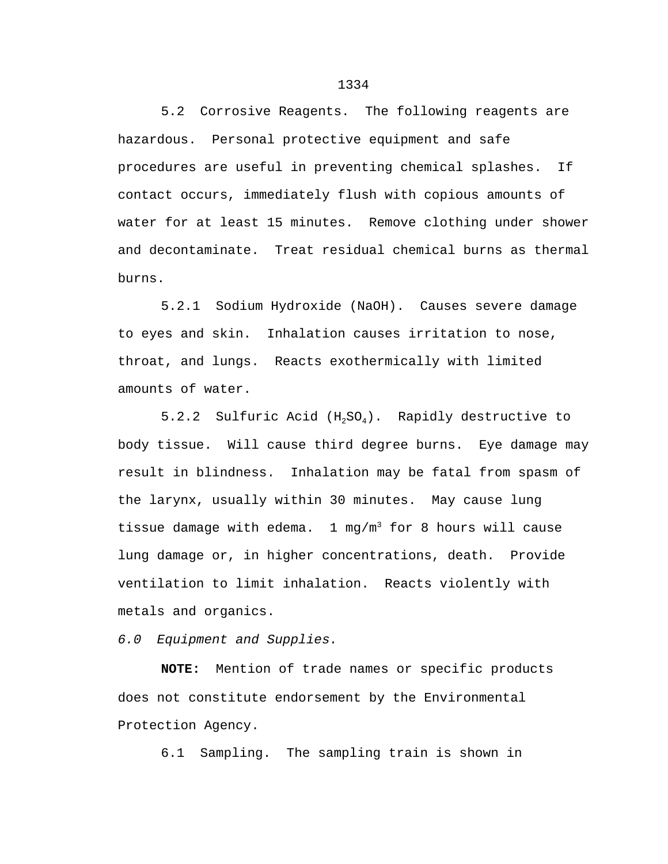5.2 Corrosive Reagents. The following reagents are hazardous. Personal protective equipment and safe procedures are useful in preventing chemical splashes. If contact occurs, immediately flush with copious amounts of water for at least 15 minutes. Remove clothing under shower and decontaminate. Treat residual chemical burns as thermal burns.

5.2.1 Sodium Hydroxide (NaOH). Causes severe damage to eyes and skin. Inhalation causes irritation to nose, throat, and lungs. Reacts exothermically with limited amounts of water.

5.2.2 Sulfuric Acid  $(H_2SO_4)$ . Rapidly destructive to body tissue. Will cause third degree burns. Eye damage may result in blindness. Inhalation may be fatal from spasm of the larynx, usually within 30 minutes. May cause lung tissue damage with edema.  $1 \text{ mg/m}^3$  for 8 hours will cause lung damage or, in higher concentrations, death. Provide ventilation to limit inhalation. Reacts violently with metals and organics.

*6.0 Equipment and Supplies.*

**NOTE:** Mention of trade names or specific products does not constitute endorsement by the Environmental Protection Agency.

6.1 Sampling. The sampling train is shown in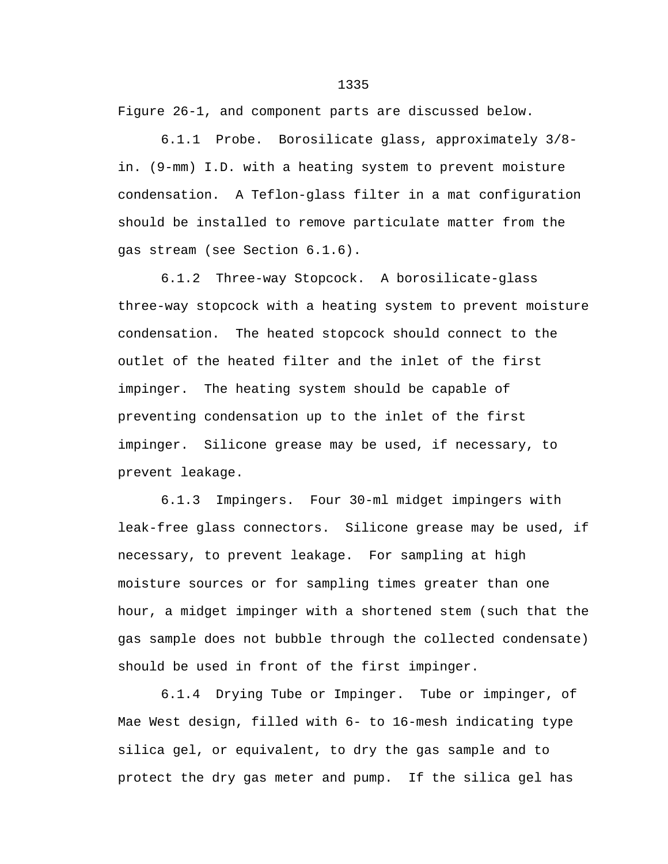Figure 26-1, and component parts are discussed below.

6.1.1 Probe. Borosilicate glass, approximately 3/8 in. (9-mm) I.D. with a heating system to prevent moisture condensation. A Teflon-glass filter in a mat configuration should be installed to remove particulate matter from the gas stream (see Section 6.1.6).

6.1.2 Three-way Stopcock. A borosilicate-glass three-way stopcock with a heating system to prevent moisture condensation. The heated stopcock should connect to the outlet of the heated filter and the inlet of the first impinger. The heating system should be capable of preventing condensation up to the inlet of the first impinger. Silicone grease may be used, if necessary, to prevent leakage.

6.1.3 Impingers. Four 30-ml midget impingers with leak-free glass connectors. Silicone grease may be used, if necessary, to prevent leakage. For sampling at high moisture sources or for sampling times greater than one hour, a midget impinger with a shortened stem (such that the gas sample does not bubble through the collected condensate) should be used in front of the first impinger.

6.1.4 Drying Tube or Impinger. Tube or impinger, of Mae West design, filled with 6- to 16-mesh indicating type silica gel, or equivalent, to dry the gas sample and to protect the dry gas meter and pump. If the silica gel has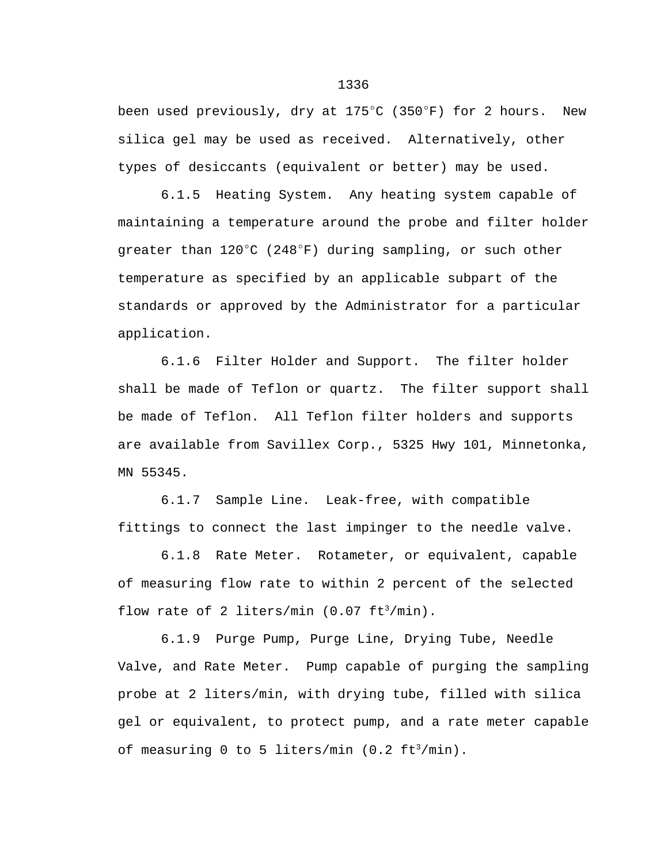been used previously, dry at  $175^{\circ}$ C (350 $^{\circ}$ F) for 2 hours. New silica gel may be used as received. Alternatively, other types of desiccants (equivalent or better) may be used.

6.1.5 Heating System. Any heating system capable of maintaining a temperature around the probe and filter holder greater than  $120^{\circ}$ C (248 $^{\circ}$ F) during sampling, or such other temperature as specified by an applicable subpart of the standards or approved by the Administrator for a particular application.

6.1.6 Filter Holder and Support. The filter holder shall be made of Teflon or quartz. The filter support shall be made of Teflon. All Teflon filter holders and supports are available from Savillex Corp., 5325 Hwy 101, Minnetonka, MN 55345.

6.1.7 Sample Line. Leak-free, with compatible fittings to connect the last impinger to the needle valve.

6.1.8 Rate Meter. Rotameter, or equivalent, capable of measuring flow rate to within 2 percent of the selected flow rate of 2 liters/min  $(0.07 \text{ ft}^3/\text{min})$ .

6.1.9 Purge Pump, Purge Line, Drying Tube, Needle Valve, and Rate Meter. Pump capable of purging the sampling probe at 2 liters/min, with drying tube, filled with silica gel or equivalent, to protect pump, and a rate meter capable of measuring 0 to 5 liters/min (0.2  $ft^3/min$ ).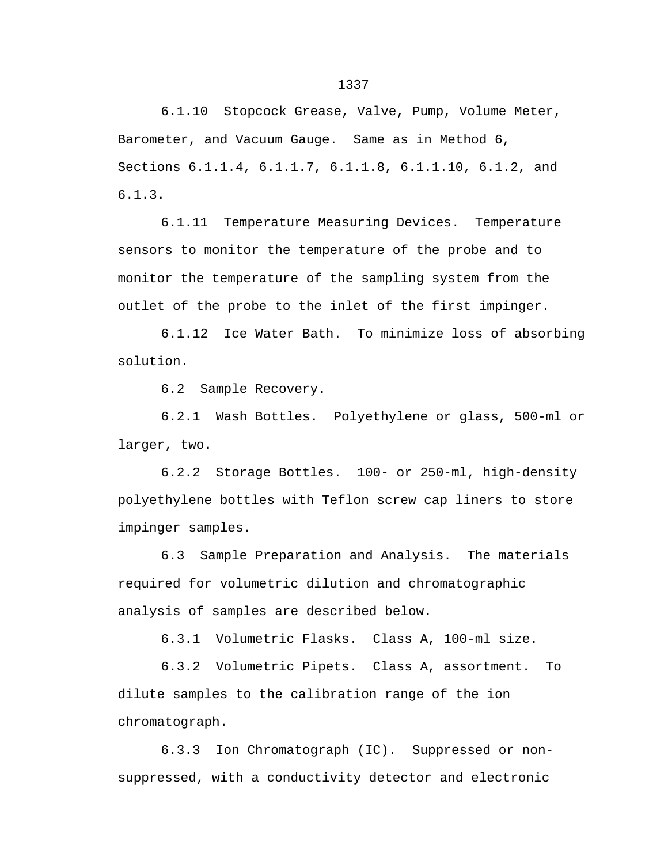6.1.10 Stopcock Grease, Valve, Pump, Volume Meter, Barometer, and Vacuum Gauge. Same as in Method 6, Sections 6.1.1.4, 6.1.1.7, 6.1.1.8, 6.1.1.10, 6.1.2, and 6.1.3.

6.1.11 Temperature Measuring Devices. Temperature sensors to monitor the temperature of the probe and to monitor the temperature of the sampling system from the outlet of the probe to the inlet of the first impinger.

6.1.12 Ice Water Bath. To minimize loss of absorbing solution.

6.2 Sample Recovery.

6.2.1 Wash Bottles. Polyethylene or glass, 500-ml or larger, two.

6.2.2 Storage Bottles. 100- or 250-ml, high-density polyethylene bottles with Teflon screw cap liners to store impinger samples.

6.3 Sample Preparation and Analysis. The materials required for volumetric dilution and chromatographic analysis of samples are described below.

6.3.1 Volumetric Flasks. Class A, 100-ml size.

6.3.2 Volumetric Pipets. Class A, assortment. To dilute samples to the calibration range of the ion chromatograph.

6.3.3 Ion Chromatograph (IC). Suppressed or nonsuppressed, with a conductivity detector and electronic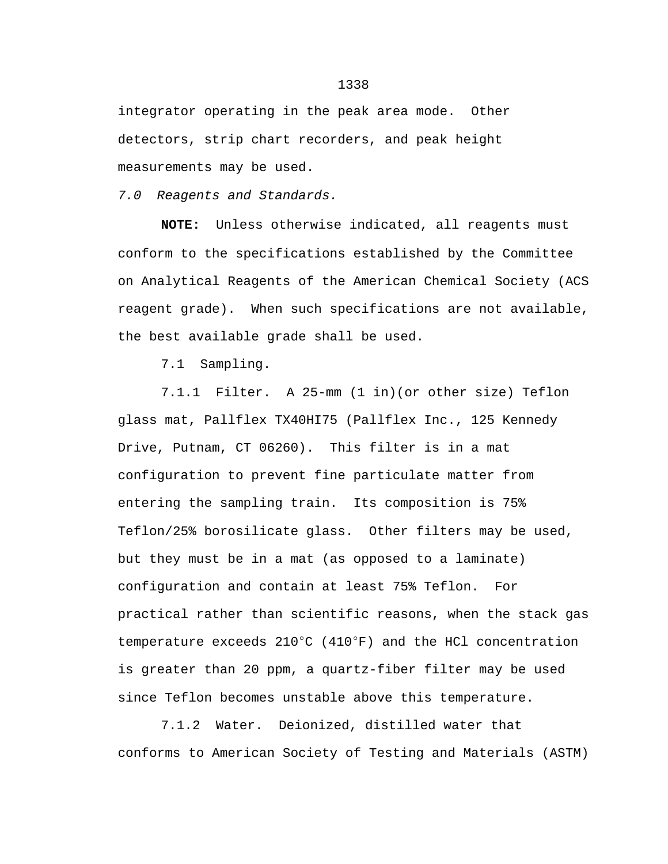integrator operating in the peak area mode. Other detectors, strip chart recorders, and peak height measurements may be used.

*7.0 Reagents and Standards.*

**NOTE:** Unless otherwise indicated, all reagents must conform to the specifications established by the Committee on Analytical Reagents of the American Chemical Society (ACS reagent grade). When such specifications are not available, the best available grade shall be used.

7.1 Sampling.

7.1.1 Filter. A 25-mm (1 in)(or other size) Teflon glass mat, Pallflex TX40HI75 (Pallflex Inc., 125 Kennedy Drive, Putnam, CT 06260). This filter is in a mat configuration to prevent fine particulate matter from entering the sampling train. Its composition is 75% Teflon/25% borosilicate glass. Other filters may be used, but they must be in a mat (as opposed to a laminate) configuration and contain at least 75% Teflon. For practical rather than scientific reasons, when the stack gas temperature exceeds  $210^{\circ}$ C (410°F) and the HCl concentration is greater than 20 ppm, a quartz-fiber filter may be used since Teflon becomes unstable above this temperature.

7.1.2 Water. Deionized, distilled water that conforms to American Society of Testing and Materials (ASTM)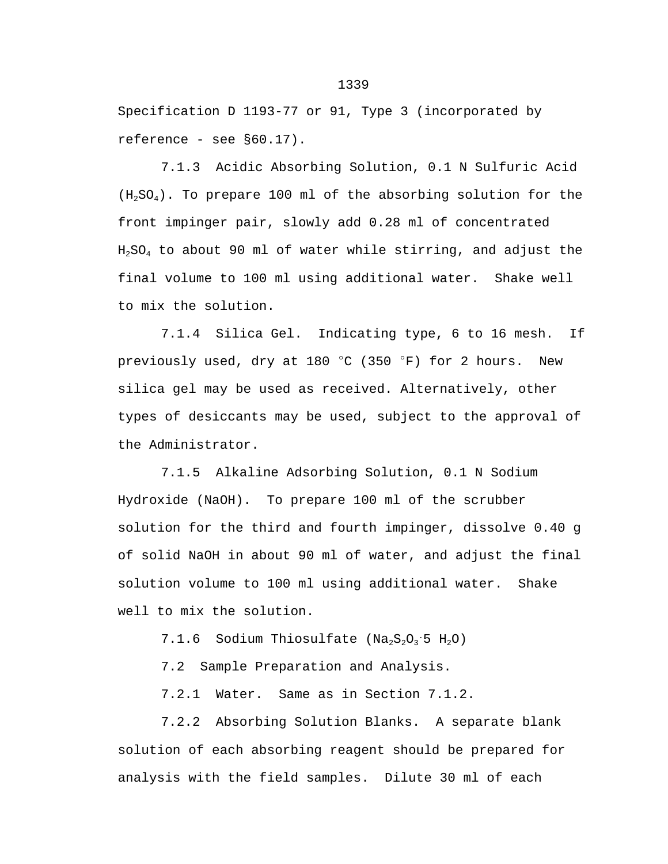Specification D 1193-77 or 91, Type 3 (incorporated by reference - see §60.17).

7.1.3 Acidic Absorbing Solution, 0.1 N Sulfuric Acid  $(H_2SO_4)$ . To prepare 100 ml of the absorbing solution for the front impinger pair, slowly add 0.28 ml of concentrated  $H_2SO_4$  to about 90 ml of water while stirring, and adjust the final volume to 100 ml using additional water. Shake well to mix the solution.

7.1.4 Silica Gel. Indicating type, 6 to 16 mesh. If previously used, dry at 180  $^{\circ}$ C (350  $^{\circ}$ F) for 2 hours. New silica gel may be used as received. Alternatively, other types of desiccants may be used, subject to the approval of the Administrator.

7.1.5 Alkaline Adsorbing Solution, 0.1 N Sodium Hydroxide (NaOH). To prepare 100 ml of the scrubber solution for the third and fourth impinger, dissolve 0.40 g of solid NaOH in about 90 ml of water, and adjust the final solution volume to 100 ml using additional water. Shake well to mix the solution.

7.1.6 Sodium Thiosulfate ( $Na<sub>2</sub>S<sub>2</sub>O<sub>3</sub>$  5 H<sub>2</sub>O)

7.2 Sample Preparation and Analysis.

7.2.1 Water. Same as in Section 7.1.2.

7.2.2 Absorbing Solution Blanks. A separate blank solution of each absorbing reagent should be prepared for analysis with the field samples. Dilute 30 ml of each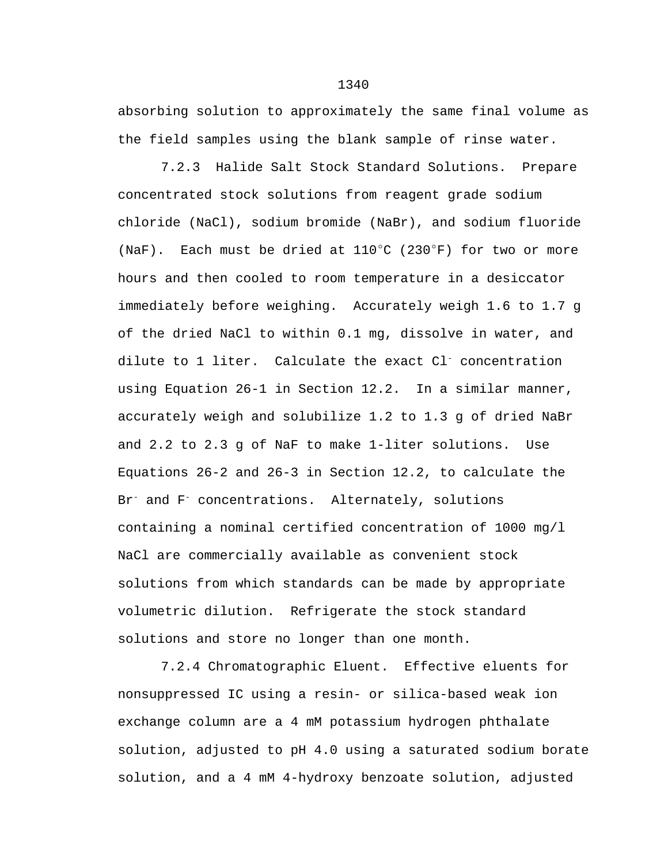absorbing solution to approximately the same final volume as the field samples using the blank sample of rinse water.

7.2.3 Halide Salt Stock Standard Solutions. Prepare concentrated stock solutions from reagent grade sodium chloride (NaCl), sodium bromide (NaBr), and sodium fluoride (NaF). Each must be dried at  $110^{\circ}$ C (230 $^{\circ}$ F) for two or more hours and then cooled to room temperature in a desiccator immediately before weighing. Accurately weigh 1.6 to 1.7 g of the dried NaCl to within 0.1 mg, dissolve in water, and dilute to 1 liter. Calculate the exact Cl- concentration using Equation 26-1 in Section 12.2. In a similar manner, accurately weigh and solubilize 1.2 to 1.3 g of dried NaBr and 2.2 to 2.3 g of NaF to make 1-liter solutions. Use Equations 26-2 and 26-3 in Section 12.2, to calculate the Br<sup>-</sup> and F<sup>-</sup> concentrations. Alternately, solutions containing a nominal certified concentration of 1000 mg/l NaCl are commercially available as convenient stock solutions from which standards can be made by appropriate volumetric dilution. Refrigerate the stock standard solutions and store no longer than one month.

7.2.4 Chromatographic Eluent. Effective eluents for nonsuppressed IC using a resin- or silica-based weak ion exchange column are a 4 mM potassium hydrogen phthalate solution, adjusted to pH 4.0 using a saturated sodium borate solution, and a 4 mM 4-hydroxy benzoate solution, adjusted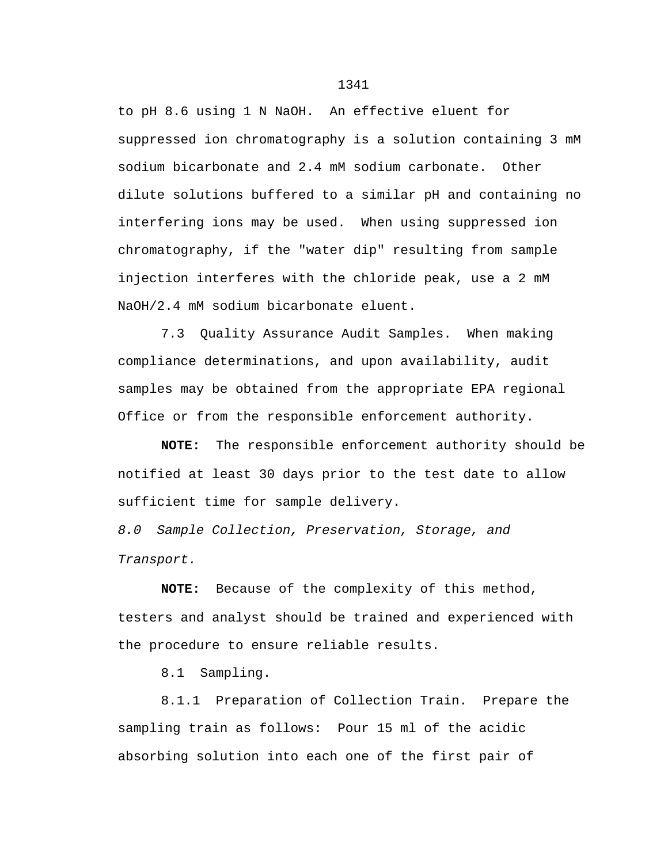to pH 8.6 using 1 N NaOH. An effective eluent for suppressed ion chromatography is a solution containing 3 mM sodium bicarbonate and 2.4 mM sodium carbonate. Other dilute solutions buffered to a similar pH and containing no interfering ions may be used. When using suppressed ion chromatography, if the "water dip" resulting from sample injection interferes with the chloride peak, use a 2 mM NaOH/2.4 mM sodium bicarbonate eluent.

7.3 Quality Assurance Audit Samples. When making compliance determinations, and upon availability, audit samples may be obtained from the appropriate EPA regional Office or from the responsible enforcement authority.

**NOTE:** The responsible enforcement authority should be notified at least 30 days prior to the test date to allow sufficient time for sample delivery.

*8.0 Sample Collection, Preservation, Storage, and Transport.*

**NOTE:** Because of the complexity of this method, testers and analyst should be trained and experienced with the procedure to ensure reliable results.

8.1 Sampling.

8.1.1 Preparation of Collection Train. Prepare the sampling train as follows: Pour 15 ml of the acidic absorbing solution into each one of the first pair of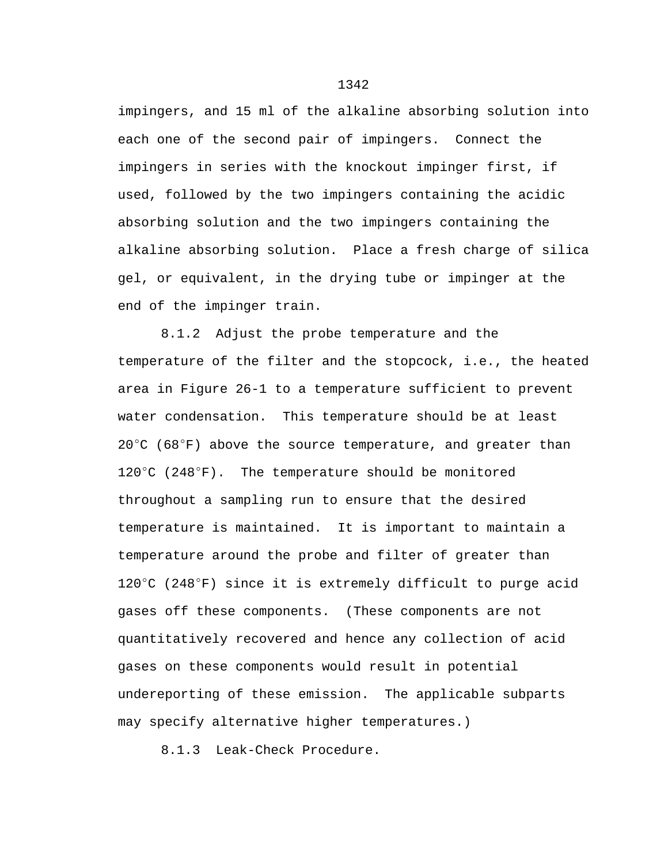impingers, and 15 ml of the alkaline absorbing solution into each one of the second pair of impingers. Connect the impingers in series with the knockout impinger first, if used, followed by the two impingers containing the acidic absorbing solution and the two impingers containing the alkaline absorbing solution. Place a fresh charge of silica gel, or equivalent, in the drying tube or impinger at the end of the impinger train.

8.1.2 Adjust the probe temperature and the temperature of the filter and the stopcock, i.e., the heated area in Figure 26-1 to a temperature sufficient to prevent water condensation. This temperature should be at least  $20^{\circ}$ C (68 $^{\circ}$ F) above the source temperature, and greater than  $120^{\circ}$ C (248 $^{\circ}$ F). The temperature should be monitored throughout a sampling run to ensure that the desired temperature is maintained. It is important to maintain a temperature around the probe and filter of greater than 120 $^{\circ}$ C (248 $^{\circ}$ F) since it is extremely difficult to purge acid gases off these components. (These components are not quantitatively recovered and hence any collection of acid gases on these components would result in potential undereporting of these emission. The applicable subparts may specify alternative higher temperatures.)

8.1.3 Leak-Check Procedure.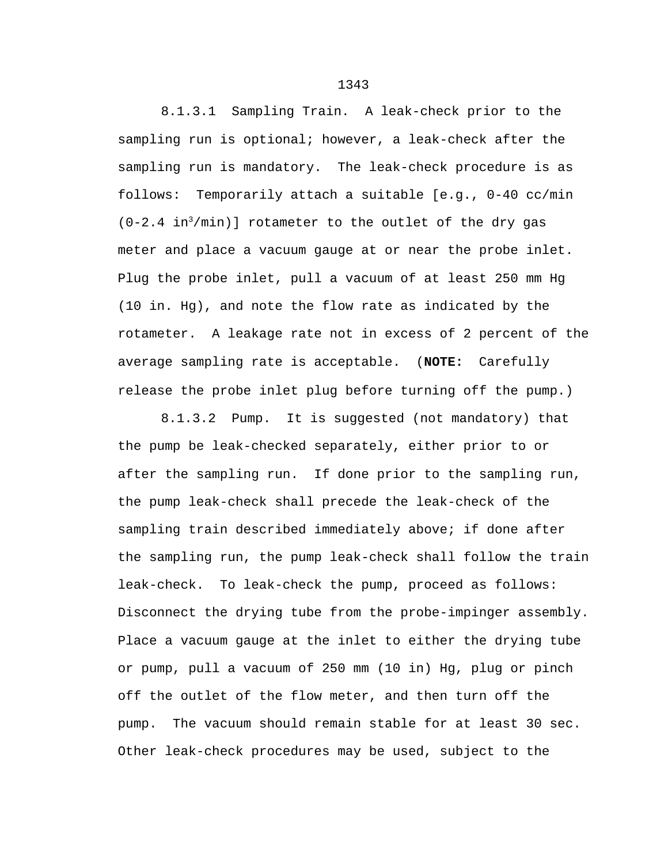8.1.3.1 Sampling Train. A leak-check prior to the sampling run is optional; however, a leak-check after the sampling run is mandatory. The leak-check procedure is as follows: Temporarily attach a suitable [e.g., 0-40 cc/min  $(0-2.4 \text{ in}^3/\text{min})$ ] rotameter to the outlet of the dry gas meter and place a vacuum gauge at or near the probe inlet. Plug the probe inlet, pull a vacuum of at least 250 mm Hg (10 in. Hg), and note the flow rate as indicated by the rotameter. A leakage rate not in excess of 2 percent of the average sampling rate is acceptable. (**NOTE:** Carefully release the probe inlet plug before turning off the pump.)

8.1.3.2 Pump. It is suggested (not mandatory) that the pump be leak-checked separately, either prior to or after the sampling run. If done prior to the sampling run, the pump leak-check shall precede the leak-check of the sampling train described immediately above; if done after the sampling run, the pump leak-check shall follow the train leak-check. To leak-check the pump, proceed as follows: Disconnect the drying tube from the probe-impinger assembly. Place a vacuum gauge at the inlet to either the drying tube or pump, pull a vacuum of 250 mm (10 in) Hg, plug or pinch off the outlet of the flow meter, and then turn off the pump. The vacuum should remain stable for at least 30 sec. Other leak-check procedures may be used, subject to the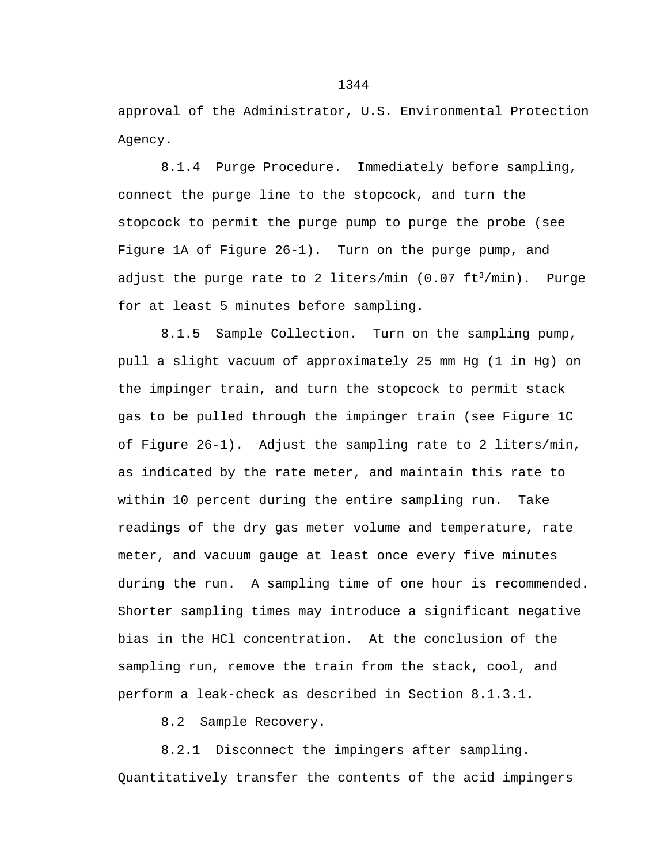approval of the Administrator, U.S. Environmental Protection Agency.

8.1.4 Purge Procedure. Immediately before sampling, connect the purge line to the stopcock, and turn the stopcock to permit the purge pump to purge the probe (see Figure 1A of Figure 26-1). Turn on the purge pump, and adjust the purge rate to 2 liters/min  $(0.07 \text{ ft}^3/\text{min})$ . Purge for at least 5 minutes before sampling.

8.1.5 Sample Collection. Turn on the sampling pump, pull a slight vacuum of approximately 25 mm Hg (1 in Hg) on the impinger train, and turn the stopcock to permit stack gas to be pulled through the impinger train (see Figure 1C of Figure 26-1). Adjust the sampling rate to 2 liters/min, as indicated by the rate meter, and maintain this rate to within 10 percent during the entire sampling run. Take readings of the dry gas meter volume and temperature, rate meter, and vacuum gauge at least once every five minutes during the run. A sampling time of one hour is recommended. Shorter sampling times may introduce a significant negative bias in the HCl concentration. At the conclusion of the sampling run, remove the train from the stack, cool, and perform a leak-check as described in Section 8.1.3.1.

8.2 Sample Recovery.

8.2.1 Disconnect the impingers after sampling. Quantitatively transfer the contents of the acid impingers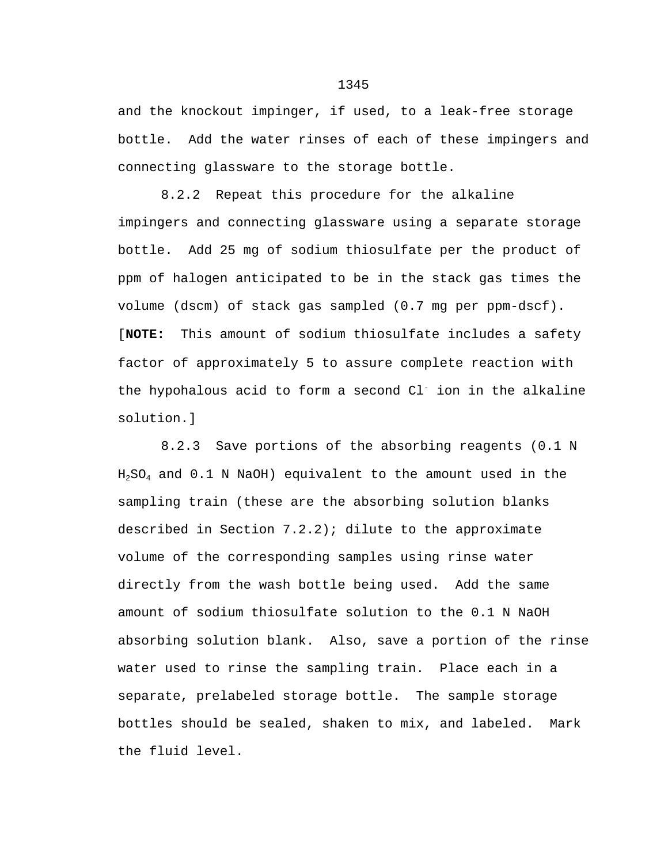and the knockout impinger, if used, to a leak-free storage bottle. Add the water rinses of each of these impingers and connecting glassware to the storage bottle.

8.2.2 Repeat this procedure for the alkaline impingers and connecting glassware using a separate storage bottle. Add 25 mg of sodium thiosulfate per the product of ppm of halogen anticipated to be in the stack gas times the volume (dscm) of stack gas sampled (0.7 mg per ppm-dscf). [**NOTE:** This amount of sodium thiosulfate includes a safety factor of approximately 5 to assure complete reaction with the hypohalous acid to form a second  $Cl^-$  ion in the alkaline solution.]

8.2.3 Save portions of the absorbing reagents (0.1 N  $H<sub>2</sub>SO<sub>4</sub>$  and  $0.1$  N NaOH) equivalent to the amount used in the sampling train (these are the absorbing solution blanks described in Section 7.2.2); dilute to the approximate volume of the corresponding samples using rinse water directly from the wash bottle being used. Add the same amount of sodium thiosulfate solution to the 0.1 N NaOH absorbing solution blank. Also, save a portion of the rinse water used to rinse the sampling train. Place each in a separate, prelabeled storage bottle. The sample storage bottles should be sealed, shaken to mix, and labeled. Mark the fluid level.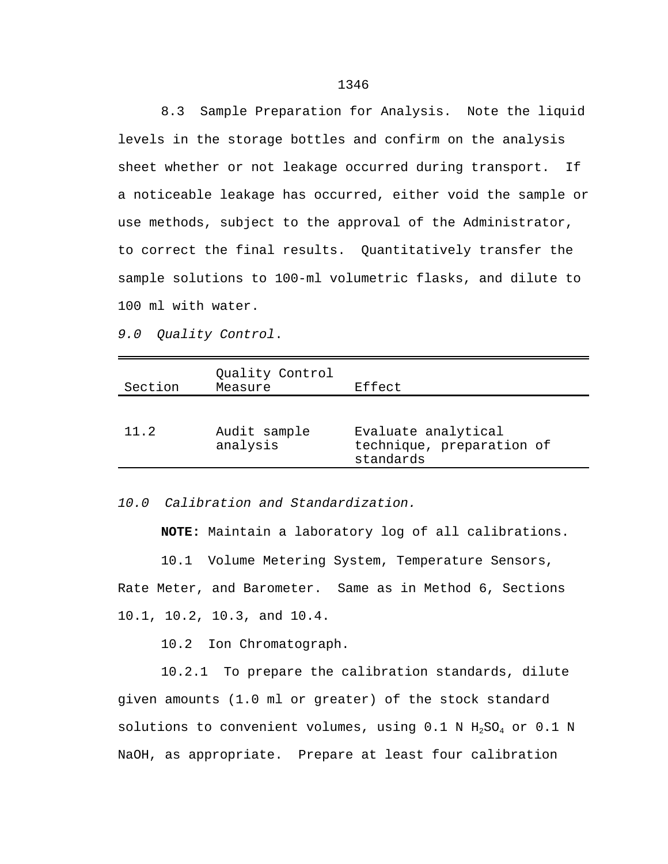8.3 Sample Preparation for Analysis. Note the liquid levels in the storage bottles and confirm on the analysis sheet whether or not leakage occurred during transport. If a noticeable leakage has occurred, either void the sample or use methods, subject to the approval of the Administrator, to correct the final results. Quantitatively transfer the sample solutions to 100-ml volumetric flasks, and dilute to 100 ml with water.

*9.0 Quality Control*.

| Audit sample<br>11.2<br>Evaluate analytical<br>technique, preparation of<br>analysis<br>standards | Section | Quality Control<br>Measure | Effect |
|---------------------------------------------------------------------------------------------------|---------|----------------------------|--------|
|                                                                                                   |         |                            |        |

*10.0 Calibration and Standardization.*

**NOTE:** Maintain a laboratory log of all calibrations.

10.1 Volume Metering System, Temperature Sensors, Rate Meter, and Barometer. Same as in Method 6, Sections 10.1, 10.2, 10.3, and 10.4.

10.2 Ion Chromatograph.

10.2.1 To prepare the calibration standards, dilute given amounts (1.0 ml or greater) of the stock standard solutions to convenient volumes, using  $0.1$  N  $H_2SO_4$  or  $0.1$  N NaOH, as appropriate. Prepare at least four calibration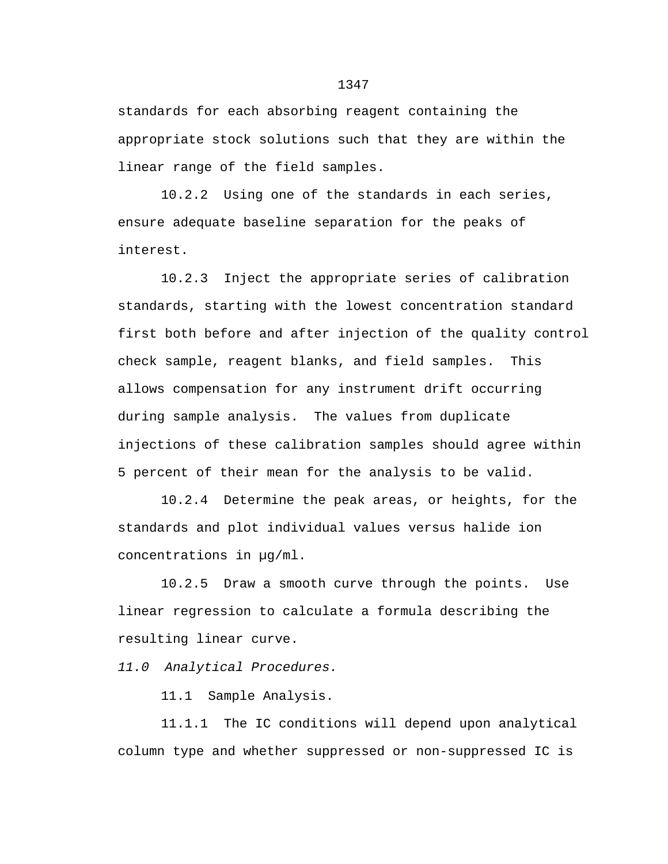standards for each absorbing reagent containing the appropriate stock solutions such that they are within the linear range of the field samples.

10.2.2 Using one of the standards in each series, ensure adequate baseline separation for the peaks of interest.

10.2.3 Inject the appropriate series of calibration standards, starting with the lowest concentration standard first both before and after injection of the quality control check sample, reagent blanks, and field samples. This allows compensation for any instrument drift occurring during sample analysis. The values from duplicate injections of these calibration samples should agree within 5 percent of their mean for the analysis to be valid.

10.2.4 Determine the peak areas, or heights, for the standards and plot individual values versus halide ion concentrations in µg/ml.

10.2.5 Draw a smooth curve through the points. Use linear regression to calculate a formula describing the resulting linear curve.

*11.0 Analytical Procedures.*

11.1 Sample Analysis.

11.1.1 The IC conditions will depend upon analytical column type and whether suppressed or non-suppressed IC is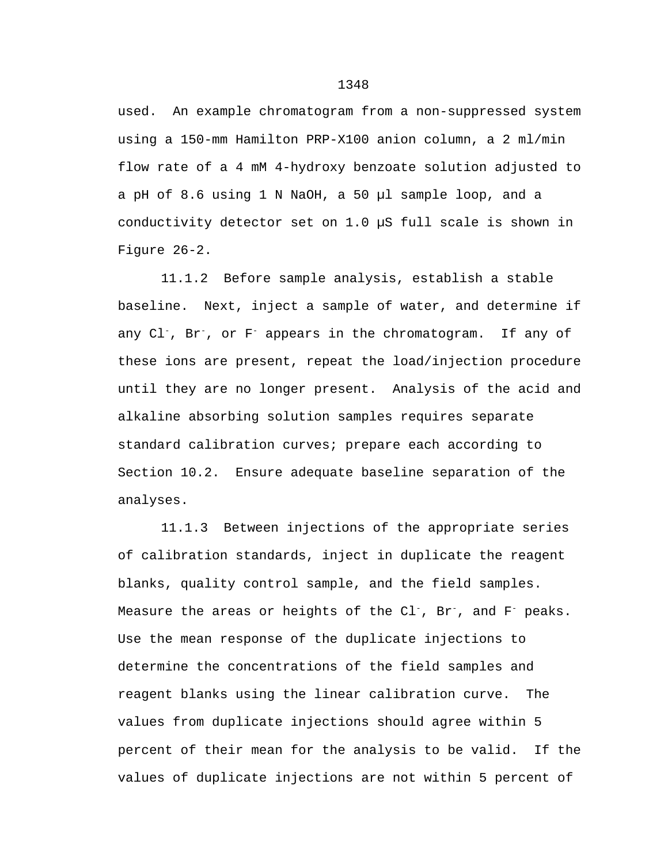used. An example chromatogram from a non-suppressed system using a 150-mm Hamilton PRP-X100 anion column, a 2 ml/min flow rate of a 4 mM 4-hydroxy benzoate solution adjusted to a pH of 8.6 using 1 N NaOH, a 50 µl sample loop, and a conductivity detector set on 1.0 µS full scale is shown in Figure 26-2.

11.1.2 Before sample analysis, establish a stable baseline. Next, inject a sample of water, and determine if any Cl-, Br-, or F- appears in the chromatogram. If any of these ions are present, repeat the load/injection procedure until they are no longer present. Analysis of the acid and alkaline absorbing solution samples requires separate standard calibration curves; prepare each according to Section 10.2. Ensure adequate baseline separation of the analyses.

11.1.3 Between injections of the appropriate series of calibration standards, inject in duplicate the reagent blanks, quality control sample, and the field samples. Measure the areas or heights of the Cl<sup>-</sup>, Br<sup>-</sup>, and F<sup>-</sup> peaks. Use the mean response of the duplicate injections to determine the concentrations of the field samples and reagent blanks using the linear calibration curve. The values from duplicate injections should agree within 5 percent of their mean for the analysis to be valid. If the values of duplicate injections are not within 5 percent of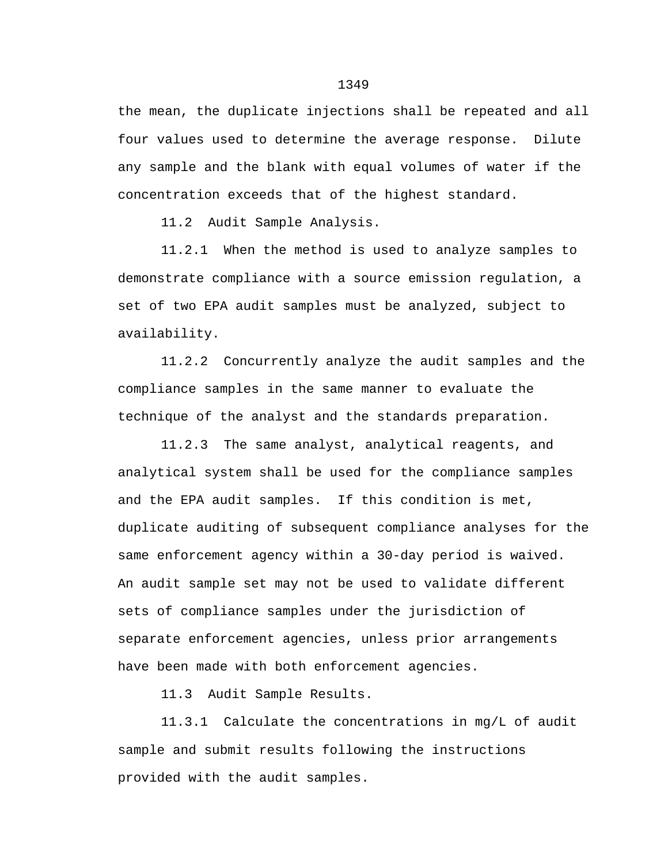the mean, the duplicate injections shall be repeated and all four values used to determine the average response. Dilute any sample and the blank with equal volumes of water if the concentration exceeds that of the highest standard.

11.2 Audit Sample Analysis.

11.2.1 When the method is used to analyze samples to demonstrate compliance with a source emission regulation, a set of two EPA audit samples must be analyzed, subject to availability.

11.2.2 Concurrently analyze the audit samples and the compliance samples in the same manner to evaluate the technique of the analyst and the standards preparation.

11.2.3 The same analyst, analytical reagents, and analytical system shall be used for the compliance samples and the EPA audit samples. If this condition is met, duplicate auditing of subsequent compliance analyses for the same enforcement agency within a 30-day period is waived. An audit sample set may not be used to validate different sets of compliance samples under the jurisdiction of separate enforcement agencies, unless prior arrangements have been made with both enforcement agencies.

11.3 Audit Sample Results.

11.3.1 Calculate the concentrations in mg/L of audit sample and submit results following the instructions provided with the audit samples.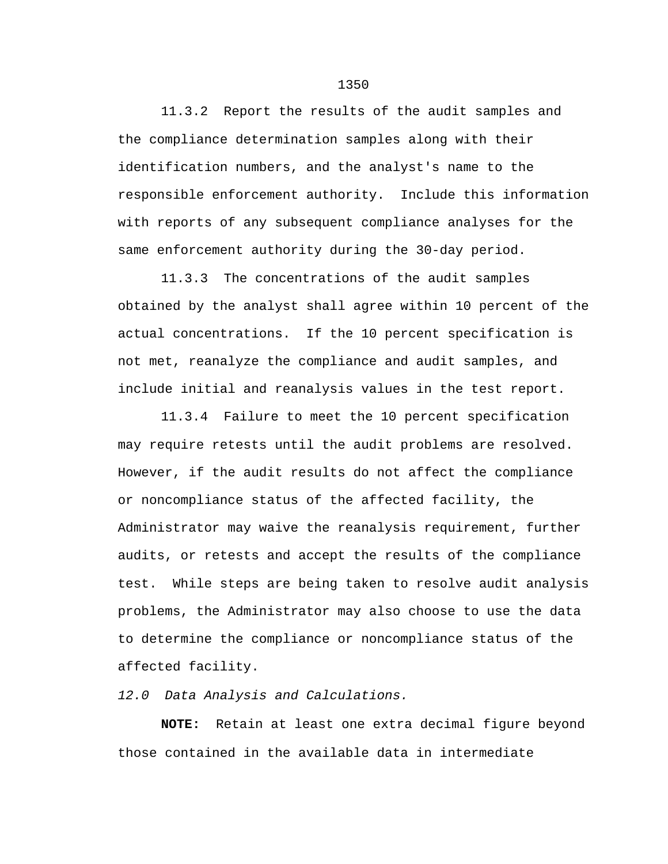11.3.2 Report the results of the audit samples and the compliance determination samples along with their identification numbers, and the analyst's name to the responsible enforcement authority. Include this information with reports of any subsequent compliance analyses for the same enforcement authority during the 30-day period.

11.3.3 The concentrations of the audit samples obtained by the analyst shall agree within 10 percent of the actual concentrations. If the 10 percent specification is not met, reanalyze the compliance and audit samples, and include initial and reanalysis values in the test report.

11.3.4 Failure to meet the 10 percent specification may require retests until the audit problems are resolved. However, if the audit results do not affect the compliance or noncompliance status of the affected facility, the Administrator may waive the reanalysis requirement, further audits, or retests and accept the results of the compliance test. While steps are being taken to resolve audit analysis problems, the Administrator may also choose to use the data to determine the compliance or noncompliance status of the affected facility.

*12.0 Data Analysis and Calculations.*

**NOTE:** Retain at least one extra decimal figure beyond those contained in the available data in intermediate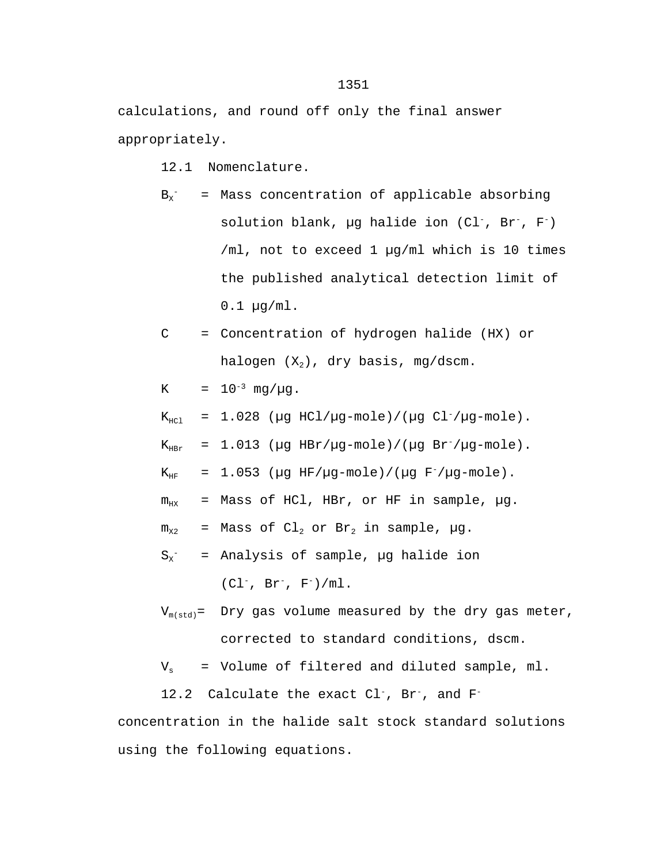calculations, and round off only the final answer appropriately.

12.1 Nomenclature.

 $B_x^+$  = Mass concentration of applicable absorbing solution blank,  $\mu$ g halide ion (Cl<sup>-</sup>, Br<sup>-</sup>, F<sup>-</sup>) /ml, not to exceed 1 µg/ml which is 10 times the published analytical detection limit of 0.1 µg/ml.

$$
C = \text{Concentration of hydrogen halide (HX) or } \text{halogen (X2), dry basis, mg/dscm.}
$$

K =  $10^{-3}$  mg/ $\mu$ g.

 $K_{\text{HCl}}$  = 1.028 ( $\mu$ g HCl/ $\mu$ g-mole)/( $\mu$ g Cl<sup>-</sup>/ $\mu$ g-mole).

 $K_{\text{HRr}}$  = 1.013 (µg HBr/µg-mole)/(µg Br<sup>-</sup>/µg-mole).

 $K_{HF}$  = 1.053 ( $\mu$ g HF/ $\mu$ g-mole)/( $\mu$ g F<sup>-</sup>/ $\mu$ g-mole).

$$
m_{HX}
$$
 = Mass of HCl, HBr, or HF in sample,  $\mu$ g.

 $m_{x2}$  = Mass of Cl<sub>2</sub> or Br<sub>2</sub> in sample,  $\mu$ g.

$$
S_x^-
$$
 = Analysis of sample,  $\mu$ l halide ion (Cl<sup>-</sup>, Br<sup>-</sup>, F<sup>-</sup>)/ml.

 $V_{m(std)}$ = Dry gas volume measured by the dry gas meter, corrected to standard conditions, dscm.

 $V_s$  = Volume of filtered and diluted sample, ml.

12.2 Calculate the exact Cl<sup>-</sup>, Br<sup>-</sup>, and F<sup>-</sup>

concentration in the halide salt stock standard solutions using the following equations.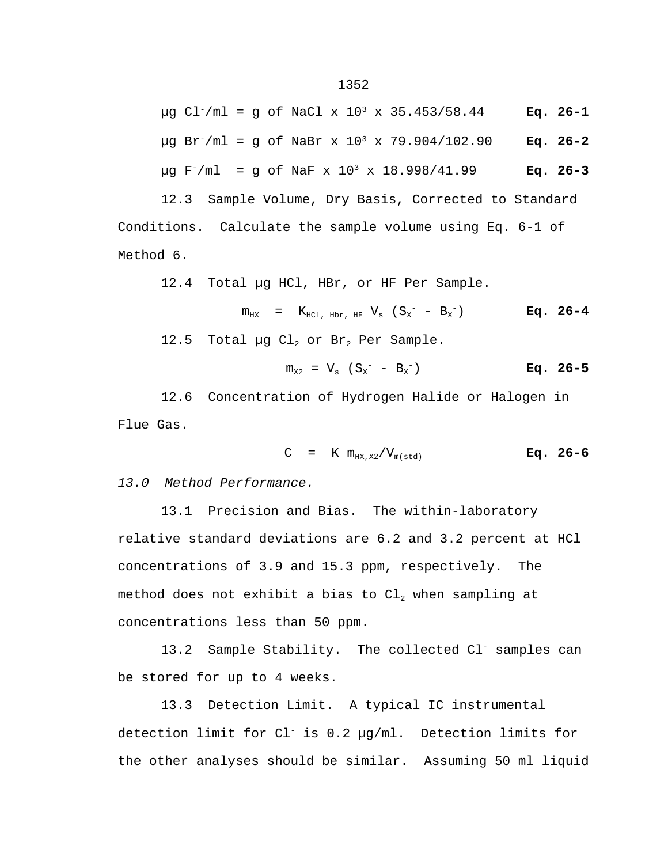µg Cl-/ml = g of NaCl x 10<sup>3</sup> x 35.453/58.44 **Eq. 26-1** µg Br-/ml = g of NaBr x 10<sup>3</sup> x 79.904/102.90 **Eq. 26-2**  $\mu$ q F<sup>-</sup>/ml = q of NaF x 10<sup>3</sup> x 18.998/41.99 **Eq. 26-3** 

12.3 Sample Volume, Dry Basis, Corrected to Standard Conditions. Calculate the sample volume using Eq. 6-1 of Method 6.

12.4 Total µg HCl, HBr, or HF Per Sample.

$$
m_{HX}
$$
 =  $K_{HCl, Hbr, HF} V_s (S_x^- - B_x^-)$  **Eq. 26-4**

12.5 Total µg  $Cl_2$  or Br<sub>2</sub> Per Sample.

$$
m_{x2} = V_s (S_x - B_x)
$$
 Eq. 26-5

12.6 Concentration of Hydrogen Halide or Halogen in Flue Gas.

$$
C = K m_{HX, X2} / V_{m (std)}
$$
 Eq. 26-6

*13.0 Method Performance.*

13.1 Precision and Bias. The within-laboratory relative standard deviations are 6.2 and 3.2 percent at HCl concentrations of 3.9 and 15.3 ppm, respectively. The method does not exhibit a bias to  $Cl<sub>2</sub>$  when sampling at concentrations less than 50 ppm.

13.2 Sample Stability. The collected Cl<sup>-</sup> samples can be stored for up to 4 weeks.

13.3 Detection Limit. A typical IC instrumental detection limit for Cl- is 0.2 µg/ml. Detection limits for the other analyses should be similar. Assuming 50 ml liquid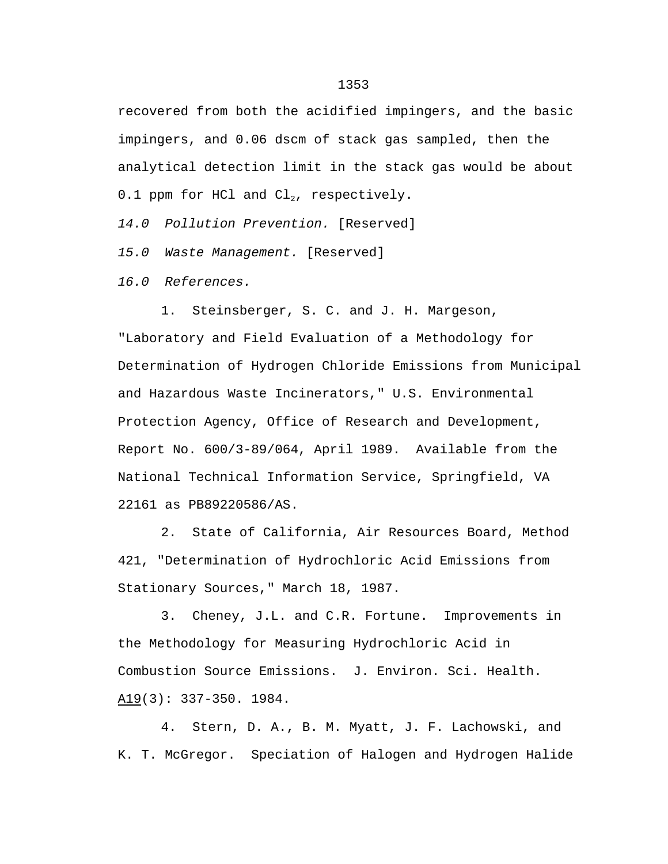recovered from both the acidified impingers, and the basic impingers, and 0.06 dscm of stack gas sampled, then the analytical detection limit in the stack gas would be about 0.1 ppm for HCl and  $Cl<sub>2</sub>$ , respectively.

*14.0 Pollution Prevention.* [Reserved]

*15.0 Waste Management.* [Reserved]

*16.0 References.*

1. Steinsberger, S. C. and J. H. Margeson, "Laboratory and Field Evaluation of a Methodology for Determination of Hydrogen Chloride Emissions from Municipal and Hazardous Waste Incinerators," U.S. Environmental Protection Agency, Office of Research and Development, Report No. 600/3-89/064, April 1989. Available from the National Technical Information Service, Springfield, VA 22161 as PB89220586/AS.

2. State of California, Air Resources Board, Method 421, "Determination of Hydrochloric Acid Emissions from Stationary Sources," March 18, 1987.

3. Cheney, J.L. and C.R. Fortune. Improvements in the Methodology for Measuring Hydrochloric Acid in Combustion Source Emissions. J. Environ. Sci. Health. A19(3): 337-350. 1984.

4. Stern, D. A., B. M. Myatt, J. F. Lachowski, and K. T. McGregor. Speciation of Halogen and Hydrogen Halide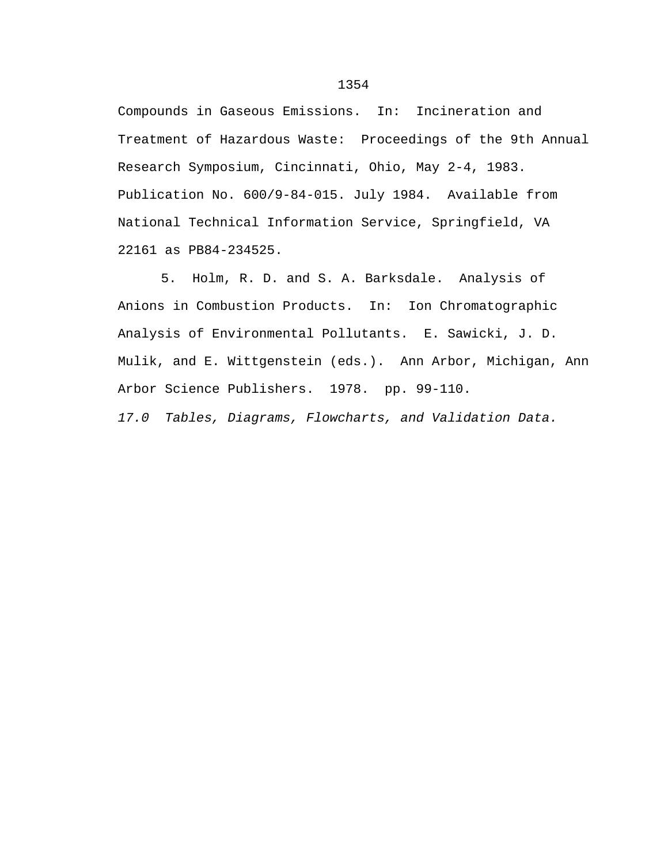Compounds in Gaseous Emissions. In: Incineration and Treatment of Hazardous Waste: Proceedings of the 9th Annual Research Symposium, Cincinnati, Ohio, May 2-4, 1983. Publication No. 600/9-84-015. July 1984. Available from National Technical Information Service, Springfield, VA 22161 as PB84-234525.

5. Holm, R. D. and S. A. Barksdale. Analysis of Anions in Combustion Products. In: Ion Chromatographic Analysis of Environmental Pollutants. E. Sawicki, J. D. Mulik, and E. Wittgenstein (eds.). Ann Arbor, Michigan, Ann Arbor Science Publishers. 1978. pp. 99-110.

*17.0 Tables, Diagrams, Flowcharts, and Validation Data.*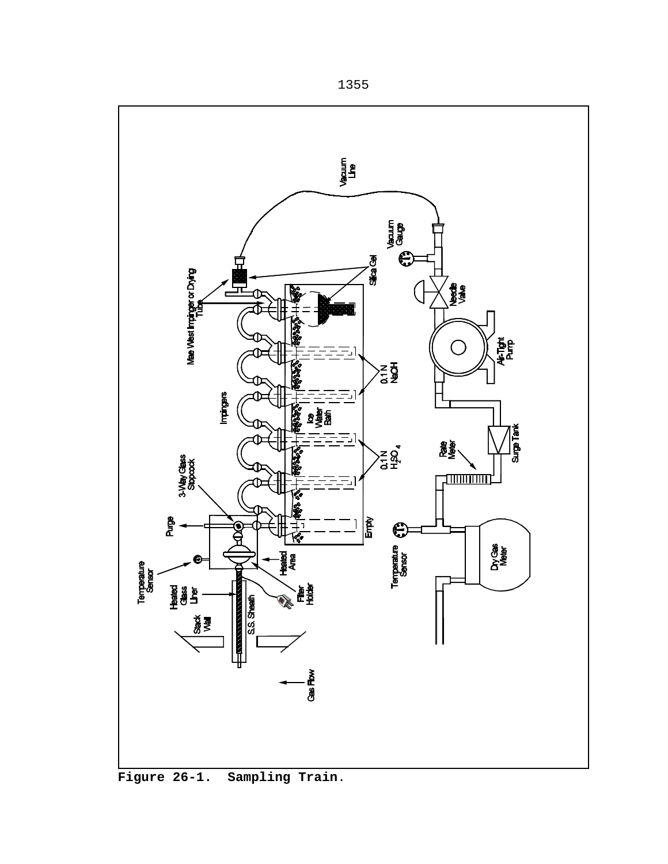

**Figure 26-1. Sampling Train**.